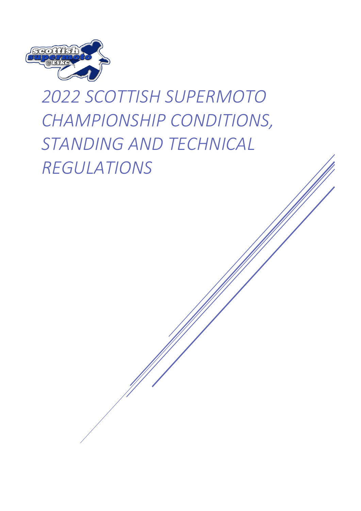

# *2022 SCOTTISH SUPERMOTO CHAMPIONSHIP CONDITIONS, STANDING AND TECHNICAL REGULATIONS*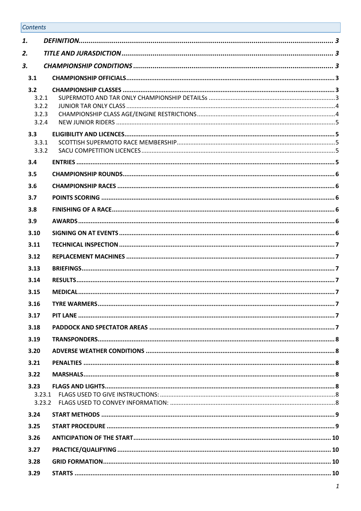# Contents

| 1.                                      |                     |     |
|-----------------------------------------|---------------------|-----|
| 2.                                      |                     |     |
| 3.                                      |                     |     |
| 3.1                                     |                     |     |
| 3.2<br>3.2.1<br>3.2.2<br>3.2.3<br>3.2.4 |                     |     |
| 3.3<br>3.3.1<br>3.3.2                   |                     |     |
| 3.4                                     |                     |     |
| 3.5                                     |                     |     |
| 3.6                                     |                     |     |
| 3.7                                     |                     |     |
| 3.8                                     |                     |     |
| 3.9                                     |                     |     |
| 3.10                                    |                     |     |
| 3.11                                    |                     |     |
| 3.12                                    |                     |     |
| 3.13                                    |                     |     |
| 3.14                                    |                     |     |
| 3.15                                    |                     |     |
| 3.16                                    | <b>TYRE WARMERS</b> | . 7 |
| 3.17                                    |                     |     |
| 3.18                                    |                     |     |
| 3.19                                    |                     |     |
| 3.20                                    |                     |     |
| 3.21                                    |                     |     |
| 3.22                                    |                     |     |
| 3.23<br>3.23.1<br>3.23.2                |                     |     |
| 3.24                                    |                     |     |
| 3.25                                    |                     |     |
| 3.26                                    |                     |     |
| 3.27                                    |                     |     |
| 3.28                                    |                     |     |
| 3.29                                    |                     |     |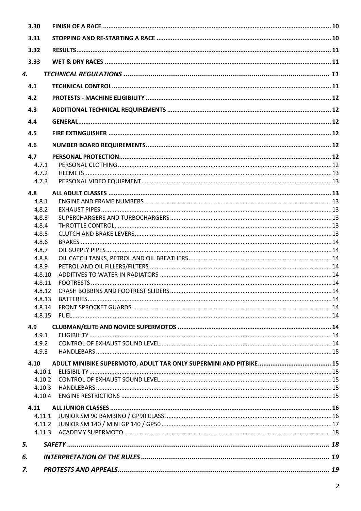| 3.30           |  |
|----------------|--|
| 3.31           |  |
| 3.32           |  |
| 3.33           |  |
| 4.             |  |
| 4.1            |  |
| 4.2            |  |
| 4.3            |  |
| 4.4            |  |
|                |  |
| 4.5            |  |
| 4.6            |  |
| 4.7            |  |
| 4.7.1          |  |
| 4.7.2          |  |
| 4.7.3          |  |
| 4.8            |  |
| 4.8.1          |  |
| 4.8.2          |  |
| 4.8.3          |  |
| 4.8.4          |  |
| 4.8.5          |  |
| 4.8.6<br>4.8.7 |  |
| 4.8.8          |  |
| 4.8.9          |  |
| 4.8.10         |  |
| 4.8.11         |  |
| 4.8.12         |  |
| 4.8.13         |  |
| 4.8.14         |  |
| 4.8.15         |  |
| 4.9            |  |
| 4.9.1          |  |
| 4.9.2          |  |
| 4.9.3          |  |
| 4.10           |  |
| 4.10.1         |  |
| 4.10.2         |  |
| 4.10.3         |  |
| 4.10.4         |  |
| 4.11           |  |
| 4.11.1         |  |
| 4.11.2         |  |
| 4.11.3         |  |
| 5.             |  |
| 6.             |  |
| 7.             |  |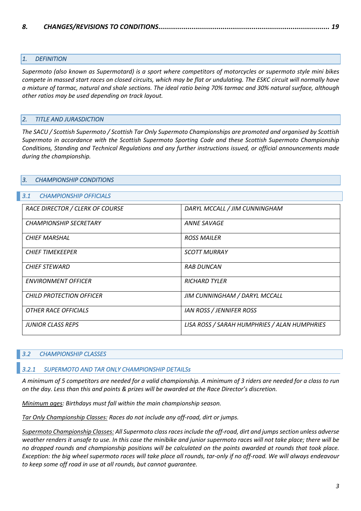#### *1. DEFINITION*

*Supermoto (also known as Supermotard) is a sport where competitors of motorcycles or supermoto style mini bikes compete in massed start races on closed circuits, which may be flat or undulating. The ESKC circuit will normally have a mixture of tarmac, natural and shale sections. The ideal ratio being 70% tarmac and 30% natural surface, although other ratios may be used depending on track layout.*

#### *2. TITLE AND JURASDICTION*

*The SACU / Scottish Supermoto / Scottish Tar Only Supermoto Championships are promoted and organised by Scottish Supermoto in accordance with the Scottish Supermoto Sporting Code and these Scottish Supermoto Championship Conditions, Standing and Technical Regulations and any further instructions issued, or official announcements made during the championship.*

# *3. CHAMPIONSHIP CONDITIONS 3.1 CHAMPIONSHIP OFFICIALS RACE DIRECTOR / CLERK OF COURSE DARYL MCCALL / JIM CUNNINGHAM CHAMPIONSHIP SECRETARY ANNE SAVAGE CHIEF MARSHAL ROSS MAILER CHIEF TIMEKEEPER SCOTT MURRAY CHIEF STEWARD RAB DUNCAN ENVIRONMENT OFFICER RICHARD TYLER CHILD PROTECTION OFFICER JIM CUNNINGHAM / DARYL MCCALL*

# *JUNIOR CLASS REPS LISA ROSS / SARAH HUMPHRIES / ALAN HUMPHRIES*

#### *3.2 CHAMPIONSHIP CLASSES*

#### *3.2.1 SUPERMOTO AND TAR ONLY CHAMPIONSHIP DETAILSs*

*A minimum of 5 competitors are needed for a valid championship. A minimum of 3 riders are needed for a class to run on the day. Less than this and points & prizes will be awarded at the Race Director's discretion.*

*Minimum ages: Birthdays must fall within the main championship season.*

*Tar Only Championship Classes: Races do not include any off-road, dirt or jumps.*

*OTHER RACE OFFICIALS IAN ROSS / JENNIFER ROSS*

*Supermoto Championship Classes: All Supermoto class races include the off-road, dirt and jumps section unless adverse weather renders it unsafe to use. In this case the minibike and junior supermoto races will not take place; there will be no dropped rounds and championship positions will be calculated on the points awarded at rounds that took place. Exception: the big wheel supermoto races will take place all rounds, tar-only if no off-road. We will always endeavour to keep some off road in use at all rounds, but cannot guarantee.*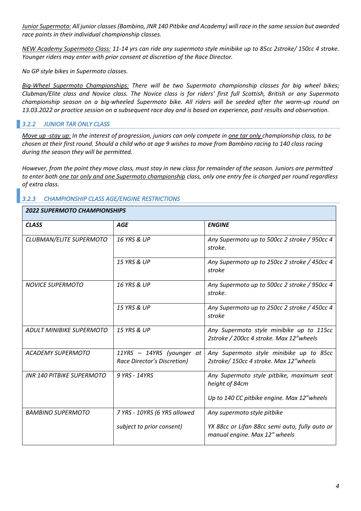*Junior Supermoto: All junior classes (Bambino, JNR 140 Pitbike and Academy) will race in the same session but awarded race points in their individual championship classes.*

*NEW Academy Supermoto Class: 11-14 yrs can ride any supermoto style minibike up to 85cc 2stroke/ 150cc 4 stroke. Younger riders may enter with prior consent at discretion of the Race Director.*

*No GP style bikes in Supermoto classes.*

*Big-Wheel Supermoto Championships: There will be two Supermoto championship classes for big wheel bikes; Clubman/Elite class and Novice class. The Novice class is for riders' first full Scottish, British or any Supermoto championship season on a big-wheeled Supermoto bike. All riders will be seeded after the warm-up round on 13.03.2022 or practice session on a subsequent race day and is based on experience, past results and observation.* 

# *3.2.2 JUNIOR TAR ONLY CLASS*

*Move up -stay up: In the interest of progression, juniors can only compete in one tar only championship class, to be chosen at their first round. Should a child who at age 9 wishes to move from Bambino racing to 140 class racing during the season they will be permitted.* 

*However, from the point they move class, must stay in new class for remainder of the season. Juniors are permitted to enter both one tar only and one Supermoto championship class, only one entry fee is charged per round regardless of extra class.*

# *3.2.3 CHAMPIONSHIP CLASS AGE/ENGINE RESTRICTIONS*

# *2022 SUPERMOTO CHAMPIONSHIPS*

| <b>CLASS</b>                     | <b>AGE</b>                                               | <b>ENGINE</b>                                                                       |
|----------------------------------|----------------------------------------------------------|-------------------------------------------------------------------------------------|
| CLUBMAN/ELITE SUPERMOTO          | 16 YRS & UP                                              | Any Supermoto up to 500cc 2 stroke / 950cc 4<br>stroke.                             |
|                                  | <b>15 YRS &amp; UP</b>                                   | Any Supermoto up to 250cc 2 stroke / 450cc 4<br>stroke                              |
| <b>NOVICE SUPERMOTO</b>          | <b>16 YRS &amp; UP</b>                                   | Any Supermoto up to 500cc 2 stroke / 950cc 4<br>stroke.                             |
|                                  | <b>15 YRS &amp; UP</b>                                   | Any Supermoto up to 250cc 2 stroke / 450cc 4<br>stroke                              |
| <b>ADULT MINIBIKE SUPERMOTO</b>  | 15 YRS & UP                                              | Any Supermoto style minibike up to 115cc<br>2stroke / 200cc 4 stroke. Max 12"wheels |
| <b>ACADEMY SUPERMOTO</b>         | 11YRS - 14YRS (younger at<br>Race Director's Discretion) | Any Supermoto style minibike up to 85cc<br>2stroke/150cc 4 stroke. Max 12"wheels    |
| <b>JNR 140 PITBIKE SUPERMOTO</b> | 9 YRS - 14YRS                                            | Any Supermoto style pitbike, maximum seat<br>height of 84cm                         |
|                                  |                                                          | Up to 140 CC pitbike engine. Max 12"wheels                                          |
| <b>BAMBINO SUPERMOTO</b>         | 7 YRS - 10YRS (6 YRS allowed                             | Any supermoto style pitbike                                                         |
|                                  | subject to prior consent)                                | YX 88cc or Lifan 88cc semi auto, fully auto or<br>manual engine. Max 12" wheels     |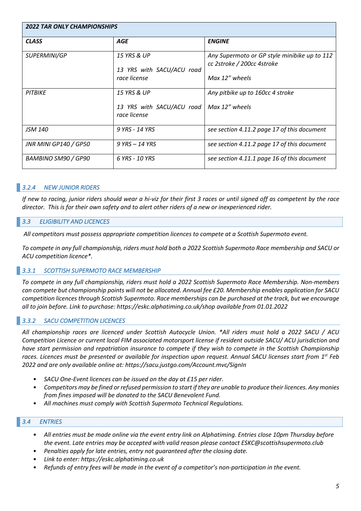| <b>2022 TAR ONLY CHAMPIONSHIPS</b> |                                                          |                                                                                              |  |  |
|------------------------------------|----------------------------------------------------------|----------------------------------------------------------------------------------------------|--|--|
| <b>CLASS</b>                       | <b>AGE</b>                                               | <b>ENGINE</b>                                                                                |  |  |
| SUPERMINI/GP                       | 15 YRS & UP<br>13 YRS with SACU/ACU road<br>race license | Any Supermoto or GP style minibike up to 112<br>cc 2stroke / 200cc 4stroke<br>Max 12" wheels |  |  |
| <b>PITBIKE</b>                     | 15 YRS & UP<br>13 YRS with SACU/ACU road<br>race license | Any pitbike up to 160cc 4 stroke<br>$Max 12''$ wheels                                        |  |  |
| <b>JSM 140</b>                     | 9 YRS - 14 YRS                                           | see section 4.11.2 page 17 of this document                                                  |  |  |
| JNR MINI GP140 / GP50              | $9$ YRS $-$ 14 YRS                                       | see section 4.11.2 page 17 of this document                                                  |  |  |
| BAMBINO SM90 / GP90                | 6 YRS - 10 YRS                                           | see section 4.11.1 page 16 of this document                                                  |  |  |

# *3.2.4 NEW JUNIOR RIDERS*

*If new to racing, junior riders should wear a hi-viz for their first 3 races or until signed off as competent by the race director. This is for their own safety and to alert other riders of a new or inexperienced rider.*

# *3.3 ELIGIBILITY AND LICENCES*

*All competitors must possess appropriate competition licences to compete at a Scottish Supermoto event.*

*To compete in any full championship, riders must hold both a 2022 Scottish Supermoto Race membership and SACU or ACU competition licence\*.*

#### *3.3.1 SCOTTISH SUPERMOTO RACE MEMBERSHIP*

*To compete in any full championship, riders must hold a 2022 Scottish Supermoto Race Membership. Non-members can compete but championship points will not be allocated. Annual fee £20. Membership enables application for SACU competition licences through Scottish Supermoto. Race memberships can be purchased at the track, but we encourage all to join before. Link to purchase: https://eskc.alphatiming.co.uk/shop available from 01.01.2022*

# *3.3.2 SACU COMPETITION LICENCES*

*All championship races are licenced under Scottish Autocycle Union. \*All riders must hold a 2022 SACU / ACU Competition Licence or current local FIM associated motorsport license if resident outside SACU/ ACU jurisdiction and have start permission and repatriation insurance to compete if they wish to compete in the Scottish Championship races. Licences must be presented or available for inspection upon request. Annual SACU licenses start from 1st Feb 2022 and are only available online at: https://sacu.justgo.com/Account.mvc/SignIn*

- *SACU One-Event licences can be issued on the day at £15 per rider.*
- *Competitors may be fined or refused permission to start if they are unable to produce their licences. Any monies from fines imposed will be donated to the SACU Benevolent Fund.*
- *All machines must comply with Scottish Supermoto Technical Regulations.*

# *3.4 ENTRIES*

- *All entries must be made online via the event entry link on Alphatiming. Entries close 10pm Thursday before the event. Late entries may be accepted with valid reason please contact ESKC@scottishsupermoto.club*
- *Penalties apply for late entries, entry not guaranteed after the closing date.*
- *Link to enter: https://eskc.alphatiming.co.uk*
- *Refunds of entry fees will be made in the event of a competitor's non-participation in the event.*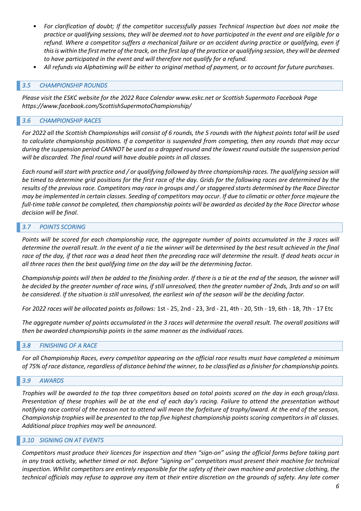- *For clarification of doubt; If the competitor successfully passes Technical Inspection but does not make the practice or qualifying sessions, they will be deemed not to have participated in the event and are eligible for a*  refund. Where a competitor suffers a mechanical failure or an accident during practice or qualifying, even if *this is within the first metre of the track, on the first lap of the practice or qualifying session, they will be deemed to have participated in the event and will therefore not qualify for a refund.*
- *All refunds via Alphatiming will be either to original method of payment, or to account for future purchases.*

#### *3.5 CHAMPIONSHIP ROUNDS*

*Please visit the ESKC website for the 2022 Race Calendar www.eskc.net or Scottish Supermoto Facebook Page https://www.facebook.com/ScottishSupermotoChampionship/*

#### *3.6 CHAMPIONSHIP RACES*

*For 2022 all the Scottish Championships will consist of 6 rounds, the 5 rounds with the highest points total will be used to calculate championship positions. If a competitor is suspended from competing, then any rounds that may occur during the suspension period CANNOT be used as a dropped round and the lowest round outside the suspension period will be discarded. The final round will have double points in all classes.*

*Each round will start with practice and / or qualifying followed by three championship races. The qualifying session will be timed to determine grid positions for the first race of the day. Grids for the following races are determined by the results of the previous race. Competitors may race in groups and / or staggered starts determined by the Race Director may be implemented in certain classes. Seeding of competitors may occur. If due to climatic or other force majeure the full-time table cannot be completed, then championship points will be awarded as decided by the Race Director whose decision will be final.*

#### *3.7 POINTS SCORING*

*Points will be scored for each championship race, the aggregate number of points accumulated in the 3 races will determine the overall result. In the event of a tie the winner will be determined by the best result achieved in the final race of the day, if that race was a dead heat then the preceding race will determine the result. If dead heats occur in all three races then the best qualifying time on the day will be the determining factor.*

*Championship points will then be added to the finishing order. If there is a tie at the end of the season, the winner will be decided by the greater number of race wins, if still unresolved, then the greater number of 2nds, 3rds and so on will be considered. If the situation is still unresolved, the earliest win of the season will be the deciding factor.*

*For 2022 races will be allocated points as follows:* 1st - 25, 2nd - 23, 3rd - 21, 4th - 20, 5th - 19, 6th - 18, 7th - 17 Etc

*The aggregate number of points accumulated in the 3 races will determine the overall result. The overall positions will then be awarded championship points in the same manner as the individual races.*

#### *3.8 FINISHING OF A RACE*

*For all Championship Races, every competitor appearing on the official race results must have completed a minimum of 75% of race distance, regardless of distance behind the winner, to be classified as a finisher for championship points.*

#### *3.9 AWARDS*

*Trophies will be awarded to the top three competitors based on total points scored on the day in each group/class. Presentation of these trophies will be at the end of each day's racing. Failure to attend the presentation without notifying race control of the reason not to attend will mean the forfeiture of trophy/award. At the end of the season, Championship trophies will be presented to the top five highest championship points scoring competitors in all classes. Additional place trophies may well be announced.*

#### *3.10 SIGNING ON AT EVENTS*

*Competitors must produce their licences for inspection and then "sign-on" using the official forms before taking part in any track activity, whether timed or not. Before "signing on" competitors must present their machine for technical inspection. Whilst competitors are entirely responsible for the safety of their own machine and protective clothing, the technical officials may refuse to approve any item at their entire discretion on the grounds of safety. Any late comer*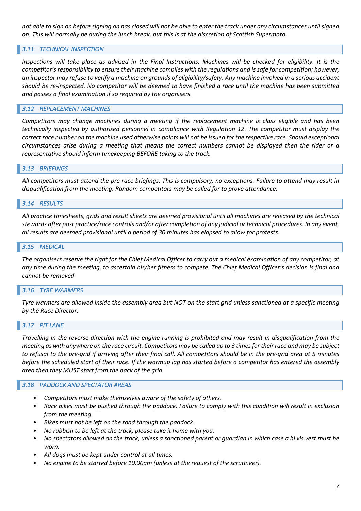*not able to sign on before signing on has closed will not be able to enter the track under any circumstances until signed on. This will normally be during the lunch break, but this is at the discretion of Scottish Supermoto.*

# *3.11 TECHNICAL INSPECTION*

*Inspections will take place as advised in the Final Instructions. Machines will be checked for eligibility. It is the competitor's responsibility to ensure their machine complies with the regulations and is safe for competition; however, an inspector may refuse to verify a machine on grounds of eligibility/safety. Any machine involved in a serious accident should be re-inspected. No competitor will be deemed to have finished a race until the machine has been submitted and passes a final examination if so required by the organisers.*

#### *3.12 REPLACEMENT MACHINES*

*Competitors may change machines during a meeting if the replacement machine is class eligible and has been technically inspected by authorised personnel in compliance with Regulation 12. The competitor must display the correct race number on the machine used otherwise points will not be issued for the respective race. Should exceptional circumstances arise during a meeting that means the correct numbers cannot be displayed then the rider or a representative should inform timekeeping BEFORE taking to the track.*

#### *3.13 BRIEFINGS*

*All competitors must attend the pre-race briefings. This is compulsory, no exceptions. Failure to attend may result in disqualification from the meeting. Random competitors may be called for to prove attendance.* 

#### *3.14 RESULTS*

*All practice timesheets, grids and result sheets are deemed provisional until all machines are released by the technical stewards after post practice/race controls and/or after completion of any judicial or technical procedures. In any event, all results are deemed provisional until a period of 30 minutes has elapsed to allow for protests.*

#### *3.15 MEDICAL*

*The organisers reserve the right for the Chief Medical Officer to carry out a medical examination of any competitor, at any time during the meeting, to ascertain his/her fitness to compete. The Chief Medical Officer's decision is final and cannot be removed.*

#### *3.16 TYRE WARMERS*

*Tyre warmers are allowed inside the assembly area but NOT on the start grid unless sanctioned at a specific meeting by the Race Director.*

#### *3.17 PIT LANE*

*Travelling in the reverse direction with the engine running is prohibited and may result in disqualification from the meeting as with anywhere on the race circuit. Competitors may be called up to 3 times for their race and may be subject to refusal to the pre-grid if arriving after their final call. All competitors should be in the pre-grid area at 5 minutes before the scheduled start of their race. If the warmup lap has started before a competitor has entered the assembly area then they MUST start from the back of the grid.*

#### *3.18 PADDOCK AND SPECTATOR AREAS*

- *Competitors must make themselves aware of the safety of others.*
- *Race bikes must be pushed through the paddock. Failure to comply with this condition will result in exclusion from the meeting.*
- *Bikes must not be left on the road through the paddock.*
- *No rubbish to be left at the track, please take it home with you.*
- *No spectators allowed on the track, unless a sanctioned parent or guardian in which case a hi vis vest must be worn.*
- *All dogs must be kept under control at all times.*
- *No engine to be started before 10.00am (unless at the request of the scrutineer).*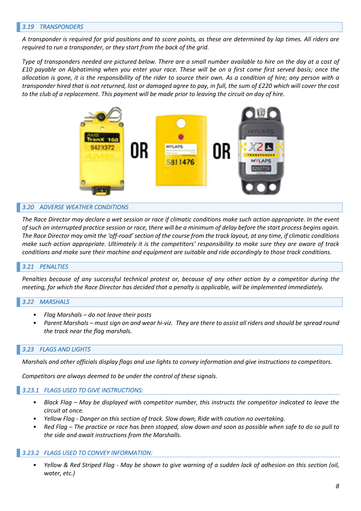#### *3.19 TRANSPONDERS*

*A transponder is required for grid positions and to score points, as these are determined by lap times. All riders are required to run a transponder, or they start from the back of the grid.* 

*Type of transponders needed are pictured below. There are a small number available to hire on the day at a cost of £10 payable on Alphatiming when you enter your race. These will be on a first come first served basis; once the allocation is gone, it is the responsibility of the rider to source their own. As a condition of hire; any person with a transponder hired that is not returned, lost or damaged agree to pay, in full, the sum of £220 which will cover the cost to the club of a replacement. This payment will be made prior to leaving the circuit on day of hire.*



#### *3.20 ADVERSE WEATHER CONDITIONS*

*The Race Director may declare a wet session or race if climatic conditions make such action appropriate. In the event of such an interrupted practice session or race, there will be a minimum of delay before the start process begins again. The Race Director may omit the 'off-road' section of the course from the track layout, at any time, if climatic conditions make such action appropriate. Ultimately it is the competitors' responsibility to make sure they are aware of track conditions and make sure their machine and equipment are suitable and ride accordingly to those track conditions.*

#### *3.21 PENALTIES*

*Penalties because of any successful technical protest or, because of any other action by a competitor during the meeting, for which the Race Director has decided that a penalty is applicable, will be implemented immediately.*

#### *3.22 MARSHALS*

- *Flag Marshals – do not leave their posts*
- *Parent Marshals – must sign on and wear hi-viz. They are there to assist all riders and should be spread round the track near the flag marshals.*

#### *3.23 FLAGS AND LIGHTS*

*Marshals and other officials display flags and use lights to convey information and give instructions to competitors.*

*Competitors are always deemed to be under the control of these signals.*

#### *3.23.1 FLAGS USED TO GIVE INSTRUCTIONS:*

- *Black Flag – May be displayed with competitor number, this instructs the competitor indicated to leave the circuit at once.*
- *Yellow Flag - Danger on this section of track. Slow down, Ride with caution no overtaking.*
- *Red Flag – The practice or race has been stopped, slow down and soon as possible when safe to do so pull to the side and await instructions from the Marshalls.*

#### *3.23.2 FLAGS USED TO CONVEY INFORMATION:*

• *Yellow & Red Striped Flag - May be shown to give warning of a sudden lack of adhesion on this section (oil, water, etc.)*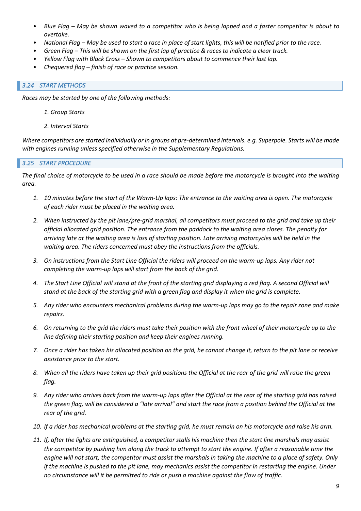- *Blue Flag – May be shown waved to a competitor who is being lapped and a faster competitor is about to overtake.*
- *National Flag – May be used to start a race in place of start lights, this will be notified prior to the race.*
- *Green Flag – This will be shown on the first lap of practice & races to indicate a clear track.*
- *Yellow Flag with Black Cross – Shown to competitors about to commence their last lap.*
- *Chequered flag – finish of race or practice session.*

#### *3.24 START METHODS*

*Races may be started by one of the following methods:*

- *1. Group Starts*
- *2. Interval Starts*

*Where competitors are started individually or in groups at pre-determined intervals. e.g. Superpole. Starts will be made with engines running unless specified otherwise in the Supplementary Regulations.*

# *3.25 START PROCEDURE*

*The final choice of motorcycle to be used in a race should be made before the motorcycle is brought into the waiting area.*

- *1. 10 minutes before the start of the Warm-Up laps: The entrance to the waiting area is open. The motorcycle of each rider must be placed in the waiting area.*
- *2. When instructed by the pit lane/pre-grid marshal, all competitors must proceed to the grid and take up their official allocated grid position. The entrance from the paddock to the waiting area closes. The penalty for arriving late at the waiting area is loss of starting position. Late arriving motorcycles will be held in the waiting area. The riders concerned must obey the instructions from the officials.*
- *3. On instructions from the Start Line Official the riders will proceed on the warm-up laps. Any rider not completing the warm-up laps will start from the back of the grid.*
- *4. The Start Line Official will stand at the front of the starting grid displaying a red flag. A second Official will stand at the back of the starting grid with a green flag and display it when the grid is complete.*
- *5. Any rider who encounters mechanical problems during the warm-up laps may go to the repair zone and make repairs.*
- *6. On returning to the grid the riders must take their position with the front wheel of their motorcycle up to the line defining their starting position and keep their engines running.*
- *7. Once a rider has taken his allocated position on the grid, he cannot change it, return to the pit lane or receive assistance prior to the start.*
- *8. When all the riders have taken up their grid positions the Official at the rear of the grid will raise the green flag.*
- *9. Any rider who arrives back from the warm-up laps after the Official at the rear of the starting grid has raised the green flag, will be considered a "late arrival" and start the race from a position behind the Official at the rear of the grid.*
- *10. If a rider has mechanical problems at the starting grid, he must remain on his motorcycle and raise his arm.*
- *11. If, after the lights are extinguished, a competitor stalls his machine then the start line marshals may assist the competitor by pushing him along the track to attempt to start the engine. If after a reasonable time the engine will not start, the competitor must assist the marshals in taking the machine to a place of safety. Only if the machine is pushed to the pit lane, may mechanics assist the competitor in restarting the engine. Under no circumstance will it be permitted to ride or push a machine against the flow of traffic.*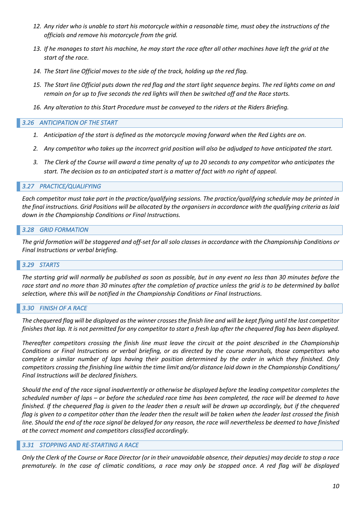- *12. Any rider who is unable to start his motorcycle within a reasonable time, must obey the instructions of the officials and remove his motorcycle from the grid.*
- *13. If he manages to start his machine, he may start the race after all other machines have left the grid at the start of the race.*
- *14. The Start line Official moves to the side of the track, holding up the red flag.*
- 15. The Start line Official puts down the red flag and the start light sequence begins. The red lights come on and *remain on for up to five seconds the red lights will then be switched off and the Race starts.*
- *16. Any alteration to this Start Procedure must be conveyed to the riders at the Riders Briefing.*

#### *3.26 ANTICIPATION OF THE START*

- *1. Anticipation of the start is defined as the motorcycle moving forward when the Red Lights are on.*
- *2. Any competitor who takes up the incorrect grid position will also be adjudged to have anticipated the start.*
- *3. The Clerk of the Course will award a time penalty of up to 20 seconds to any competitor who anticipates the start. The decision as to an anticipated start is a matter of fact with no right of appeal.*

#### *3.27 PRACTICE/QUALIFYING*

*Each competitor must take part in the practice/qualifying sessions. The practice/qualifying schedule may be printed in the final instructions. Grid Positions will be allocated by the organisers in accordance with the qualifying criteria as laid down in the Championship Conditions or Final Instructions.*

#### *3.28 GRID FORMATION*

*The grid formation will be staggered and off-set for all solo classes in accordance with the Championship Conditions or Final Instructions or verbal briefing.*

#### *3.29 STARTS*

*The starting grid will normally be published as soon as possible, but in any event no less than 30 minutes before the race start and no more than 30 minutes after the completion of practice unless the grid is to be determined by ballot selection, where this will be notified in the Championship Conditions or Final Instructions.*

#### *3.30 FINISH OF A RACE*

*The chequered flag will be displayed as the winner crosses the finish line and will be kept flying until the last competitor finishes that lap. It is not permitted for any competitor to start a fresh lap after the chequered flag has been displayed.*

*Thereafter competitors crossing the finish line must leave the circuit at the point described in the Championship Conditions or Final Instructions or verbal briefing, or as directed by the course marshals, those competitors who complete a similar number of laps having their position determined by the order in which they finished. Only competitors crossing the finishing line within the time limit and/or distance laid down in the Championship Conditions/ Final Instructions will be declared finishers.*

*Should the end of the race signal inadvertently or otherwise be displayed before the leading competitor completes the scheduled number of laps – or before the scheduled race time has been completed, the race will be deemed to have finished. If the chequered flag is given to the leader then a result will be drawn up accordingly, but if the chequered flag is given to a competitor other than the leader then the result will be taken when the leader last crossed the finish line. Should the end of the race signal be delayed for any reason, the race will nevertheless be deemed to have finished at the correct moment and competitors classified accordingly.*

#### *3.31 STOPPING AND RE-STARTING A RACE*

*Only the Clerk of the Course or Race Director (or in their unavoidable absence, their deputies) may decide to stop a race prematurely. In the case of climatic conditions, a race may only be stopped once. A red flag will be displayed*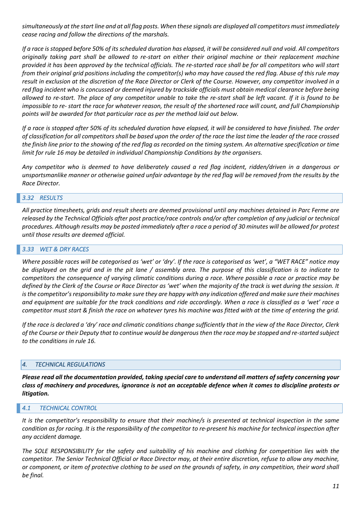*simultaneously at the start line and at all flag posts. When these signals are displayed all competitors must immediately cease racing and follow the directions of the marshals.*

*If a race is stopped before 50% of its scheduled duration has elapsed, it will be considered null and void. All competitors originally taking part shall be allowed to re-start on either their original machine or their replacement machine provided it has been approved by the technical officials. The re-started race shall be for all competitors who will start from their original grid positions including the competitor(s) who may have caused the red flag. Abuse of this rule may result in exclusion at the discretion of the Race Director or Clerk of the Course. However, any competitor involved in a red flag incident who is concussed or deemed injured by trackside officials must obtain medical clearance before being allowed to re-start. The place of any competitor unable to take the re-start shall be left vacant. If it is found to be impossible to re- start the race for whatever reason, the result of the shortened race will count, and full Championship points will be awarded for that particular race as per the method laid out below.*

*If a race is stopped after 50% of its scheduled duration have elapsed, it will be considered to have finished. The order of classification for all competitors shall be based upon the order of the race the last time the leader of the race crossed the finish line prior to the showing of the red flag as recorded on the timing system. An alternative specification or time limit for rule 16 may be detailed in individual Championship Conditions by the organisers.*

*Any competitor who is deemed to have deliberately caused a red flag incident, ridden/driven in a dangerous or unsportsmanlike manner or otherwise gained unfair advantage by the red flag will be removed from the results by the Race Director.*

#### *3.32 RESULTS*

*All practice timesheets, grids and result sheets are deemed provisional until any machines detained in Parc Ferme are released by the Technical Officials after post practice/race controls and/or after completion of any judicial or technical procedures. Although results may be posted immediately after a race a period of 30 minutes will be allowed for protest until those results are deemed official.*

#### *3.33 WET & DRY RACES*

*Where possible races will be categorised as 'wet' or 'dry'. If the race is categorised as 'wet', a "WET RACE" notice may be displayed on the grid and in the pit lane / assembly area. The purpose of this classification is to indicate to competitors the consequence of varying climatic conditions during a race. Where possible a race or practice may be defined by the Clerk of the Course or Race Director as 'wet' when the majority of the track is wet during the session. It is the competitor's responsibility to make sure they are happy with any indication offered and make sure their machines and equipment are suitable for the track conditions and ride accordingly. When a race is classified as a 'wet' race a competitor must start & finish the race on whatever tyres his machine was fitted with at the time of entering the grid.*

*If the race is declared a 'dry' race and climatic conditions change sufficiently that in the view of the Race Director, Clerk of the Course or their Deputy that to continue would be dangerous then the race may be stopped and re-started subject to the conditions in rule 16.*

#### *4. TECHNICAL REGULATIONS*

*Please read all the documentation provided, taking special care to understand all matters of safety concerning your class of machinery and procedures, ignorance is not an acceptable defence when it comes to discipline protests or litigation.*

#### *4.1 TECHNICAL CONTROL*

*It is the competitor's responsibility to ensure that their machine/s is presented at technical inspection in the same condition as for racing. It is the responsibility of the competitor to re-present his machine for technical inspection after any accident damage.*

*The SOLE RESPONSIBILITY for the safety and suitability of his machine and clothing for competition lies with the competitor. The Senior Technical Official or Race Director may, at their entire discretion, refuse to allow any machine, or component, or item of protective clothing to be used on the grounds of safety, in any competition, their word shall be final.*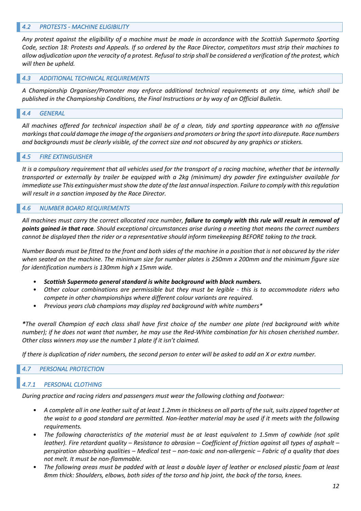#### *4.2 PROTESTS - MACHINE ELIGIBILITY*

*Any protest against the eligibility of a machine must be made in accordance with the Scottish Supermoto Sporting Code, section 18: Protests and Appeals. If so ordered by the Race Director, competitors must strip their machines to allow adjudication upon the veracity of a protest. Refusal to strip shall be considered a verification of the protest, which will then be upheld.*

#### *4.3 ADDITIONAL TECHNICAL REQUIREMENTS*

*A Championship Organiser/Promoter may enforce additional technical requirements at any time, which shall be published in the Championship Conditions, the Final Instructions or by way of an Official Bulletin.*

#### *4.4 GENERAL*

*All machines offered for technical inspection shall be of a clean, tidy and sporting appearance with no offensive markings that could damage the image of the organisers and promoters or bring the sport into disrepute. Race numbers and backgrounds must be clearly visible, of the correct size and not obscured by any graphics or stickers.*

#### *4.5 FIRE EXTINGUISHER*

*It is a compulsory requirement that all vehicles used for the transport of a racing machine, whether that be internally transported or externally by trailer be equipped with a 2kg (minimum) dry powder fire extinguisher available for immediate use This extinguisher must show the date of the last annual inspection. Failure to comply with thisregulation will result in a sanction imposed by the Race Director.*

#### *4.6 NUMBER BOARD REQUIREMENTS*

*All machines must carry the correct allocated race number, failure to comply with this rule will result in removal of points gained in that race. Should exceptional circumstances arise during a meeting that means the correct numbers cannot be displayed then the rider or a representative should inform timekeeping BEFORE taking to the track.*

*Number Boards must be fitted to the front and both sides of the machine in a position that is not obscured by the rider when seated on the machine. The minimum size for number plates is 250mm x 200mm and the minimum figure size for identification numbers is 130mm high x 15mm wide.*

- *Scottish Supermoto general standard is white background with black numbers.*
- *Other colour combinations are permissible but they must be legible - this is to accommodate riders who compete in other championships where different colour variants are required.*
- *Previous years club champions may display red background with white numbers\**

*\*The overall Champion of each class shall have first choice of the number one plate (red background with white number); if he does not want that number, he may use the Red-White combination for his chosen cherished number. Other class winners may use the number 1 plate if it isn't claimed.*

*If there is duplication of rider numbers, the second person to enter will be asked to add an X or extra number.*

#### *4.7 PERSONAL PROTECTION*

# *4.7.1 PERSONAL CLOTHING*

*During practice and racing riders and passengers must wear the following clothing and footwear:*

- *A complete all in one leather suit of at least 1.2mm in thickness on all parts of the suit, suits zipped together at the waist to a good standard are permitted. Non-leather material may be used if it meets with the following requirements.*
- *The following characteristics of the material must be at least equivalent to 1.5mm of cowhide (not split leather). Fire retardant quality – Resistance to abrasion – Coefficient of friction against all types of asphalt – perspiration absorbing qualities – Medical test – non-toxic and non-allergenic – Fabric of a quality that does not melt. It must be non-flammable.*
- *The following areas must be padded with at least a double layer of leather or enclosed plastic foam at least 8mm thick: Shoulders, elbows, both sides of the torso and hip joint, the back of the torso, knees.*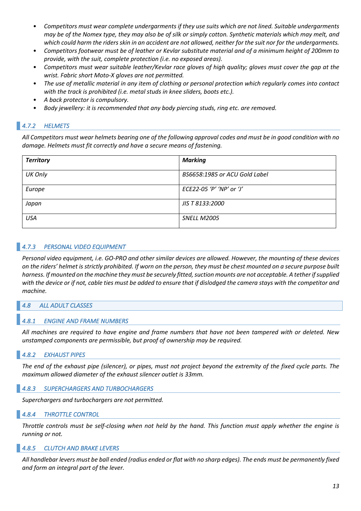- *Competitors must wear complete undergarments if they use suits which are not lined. Suitable undergarments may be of the Nomex type, they may also be of silk or simply cotton. Synthetic materials which may melt, and which could harm the riders skin in an accident are not allowed, neither for the suit nor for the undergarments.*
- *Competitors footwear must be of leather or Kevlar substitute material and of a minimum height of 200mm to provide, with the suit, complete protection (i.e. no exposed areas).*
- *Competitors must wear suitable leather/Kevlar race gloves of high quality; gloves must cover the gap at the wrist. Fabric short Moto-X gloves are not permitted.*
- *The use of metallic material in any item of clothing or personal protection which regularly comes into contact with the track is prohibited (i.e. metal studs in knee sliders, boots etc.).*
- *A back protector is compulsory.*
- *Body jewellery: it is recommended that any body piercing studs, ring etc. are removed.*

# *4.7.2 HELMETS*

*All Competitors must wear helmets bearing one of the following approval codes and must be in good condition with no damage. Helmets must fit correctly and have a secure means of fastening.*

| <b>Territory</b> | <b>Marking</b>                |
|------------------|-------------------------------|
| UK Only          | BS6658:1985 or ACU Gold Label |
| Europe           | ECE22-05 'P' 'NP' or 'J'      |
| Japan            | JIS T 8133:2000               |
| <b>USA</b>       | <b>SNELL M2005</b>            |

# *4.7.3 PERSONAL VIDEO EQUIPMENT*

*Personal video equipment, i.e. GO-PRO and other similar devices are allowed. However, the mounting of these devices on the riders' helmet is strictly prohibited. If worn on the person, they must be chest mounted on a secure purpose built harness. If mounted on the machine they must be securely fitted, suction mounts are not acceptable. A tether ifsupplied with the device or if not, cable ties must be added to ensure that if dislodged the camera stays with the competitor and machine.*

# *4.8 ALL ADULT CLASSES*

# *4.8.1 ENGINE AND FRAME NUMBERS*

*All machines are required to have engine and frame numbers that have not been tampered with or deleted. New unstamped components are permissible, but proof of ownership may be required.*

# *4.8.2 EXHAUST PIPES*

*The end of the exhaust pipe (silencer), or pipes, must not project beyond the extremity of the fixed cycle parts. The maximum allowed diameter of the exhaust silencer outlet is 33mm.*

#### *4.8.3 SUPERCHARGERS AND TURBOCHARGERS*

*Superchargers and turbochargers are not permitted.*

#### *4.8.4 THROTTLE CONTROL*

*Throttle controls must be self-closing when not held by the hand. This function must apply whether the engine is running or not.*

#### *4.8.5 CLUTCH AND BRAKE LEVERS*

*All handlebar levers must be ball ended (radius ended or flat with no sharp edges). The ends must be permanently fixed and form an integral part of the lever.*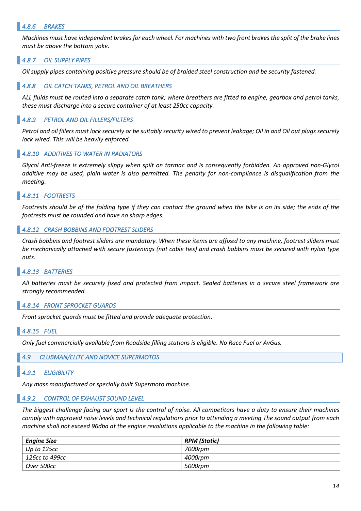#### *4.8.6 BRAKES*

*Machines must have independent brakes for each wheel. For machines with two front brakes the split of the brake lines must be above the bottom yoke.*

#### *4.8.7 OIL SUPPLY PIPES*

*Oil supply pipes containing positive pressure should be of braided steel construction and be security fastened.*

#### *4.8.8 OIL CATCH TANKS, PETROL AND OIL BREATHERS*

*ALL fluids must be routed into a separate catch tank; where breathers are fitted to engine, gearbox and petrol tanks, these must discharge into a secure container of at least 250cc capacity.*

#### *4.8.9 PETROL AND OIL FILLERS/FILTERS*

*Petrol and oil fillers must lock securely or be suitably security wired to prevent leakage; Oil in and Oil out plugs securely lock wired. This will be heavily enforced.*

#### *4.8.10 ADDITIVES TO WATER IN RADIATORS*

*Glycol Anti-freeze is extremely slippy when spilt on tarmac and is consequently forbidden. An approved non-Glycol additive may be used, plain water is also permitted. The penalty for non-compliance is disqualification from the meeting.*

#### *4.8.11 FOOTRESTS*

*Footrests should be of the folding type if they can contact the ground when the bike is on its side; the ends of the footrests must be rounded and have no sharp edges.*

#### *4.8.12 CRASH BOBBINS AND FOOTREST SLIDERS*

*Crash bobbins and footrest sliders are mandatory. When these items are affixed to any machine, footrest sliders must be mechanically attached with secure fastenings (not cable ties) and crash bobbins must be secured with nylon type nuts.*

#### *4.8.13 BATTERIES*

*All batteries must be securely fixed and protected from impact. Sealed batteries in a secure steel framework are strongly recommended.*

#### *4.8.14 FRONT SPROCKET GUARDS*

*Front sprocket guards must be fitted and provide adequate protection.*

#### *4.8.15 FUEL*

*Only fuel commercially available from Roadside filling stations is eligible. No Race Fuel or AvGas.*

#### *4.9 CLUBMAN/ELITE AND NOVICE SUPERMOTOS*

#### *4.9.1 ELIGIBILITY*

*Any mass manufactured or specially built Supermoto machine.*

#### *4.9.2 CONTROL OF EXHAUST SOUND LEVEL*

*The biggest challenge facing our sport is the control of noise. All competitors have a duty to ensure their machines comply with approved noise levels and technical regulations prior to attending a meeting.The sound output from each machine shall not exceed 96dba at the engine revolutions applicable to the machine in the following table:* 

| <b>Engine Size</b> | <b>RPM</b> (Static) |
|--------------------|---------------------|
| Up to $125cc$      | 7000rpm             |
| 126cc to 499cc     | 4000rpm             |
| Over 500cc         | 5000rpm             |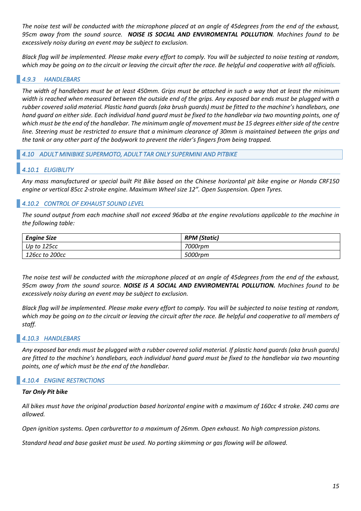*The noise test will be conducted with the microphone placed at an angle of 45degrees from the end of the exhaust, 95cm away from the sound source. NOISE IS SOCIAL AND ENVIROMENTAL POLLUTION. Machines found to be excessively noisy during an event may be subject to exclusion.*

*Black flag will be implemented. Please make every effort to comply. You will be subjected to noise testing at random, which may be going on to the circuit or leaving the circuit after the race. Be helpful and cooperative with all officials.*

# *4.9.3 HANDLEBARS*

*The width of handlebars must be at least 450mm. Grips must be attached in such a way that at least the minimum width is reached when measured between the outside end of the grips. Any exposed bar ends must be plugged with a rubber covered solid material. Plastic hand guards (aka brush guards) must be fitted to the machine's handlebars, one hand guard on either side. Each individual hand guard must be fixed to the handlebar via two mounting points, one of which must be the end of the handlebar. The minimum angle of movement must be 15 degrees either side of the centre line. Steering must be restricted to ensure that a minimum clearance of 30mm is maintained between the grips and the tank or any other part of the bodywork to prevent the rider's fingers from being trapped.*

*4.10 ADULT MINIBIKE SUPERMOTO, ADULT TAR ONLY SUPERMINI AND PITBIKE* 

# *4.10.1 ELIGIBILITY*

*Any mass manufactured or special built Pit Bike based on the Chinese horizontal pit bike engine or Honda CRF150 engine or vertical 85cc 2-stroke engine. Maximum Wheel size 12". Open Suspension. Open Tyres.*

# *4.10.2 CONTROL OF EXHAUST SOUND LEVEL*

*The sound output from each machine shall not exceed 96dba at the engine revolutions applicable to the machine in the following table:*

| <b>Engine Size</b> | <b>RPM</b> (Static) |
|--------------------|---------------------|
| Up to 125cc        | 7000rpm             |
| 126cc to 200cc     | 5000rpm             |

*The noise test will be conducted with the microphone placed at an angle of 45degrees from the end of the exhaust, 95cm away from the sound source. NOISE IS A SOCIAL AND ENVIROMENTAL POLLUTION. Machines found to be excessively noisy during an event may be subject to exclusion.*

*Black flag will be implemented. Please make every effort to comply. You will be subjected to noise testing at random, which may be going on to the circuit or leaving the circuit after the race. Be helpful and cooperative to all members of staff.*

# *4.10.3 HANDLEBARS*

*Any exposed bar ends must be plugged with a rubber covered solid material. If plastic hand guards (aka brush guards) are fitted to the machine's handlebars, each individual hand guard must be fixed to the handlebar via two mounting points, one of which must be the end of the handlebar.*

# *4.10.4 ENGINE RESTRICTIONS*

#### *Tar Only Pit bike*

*All bikes must have the original production based horizontal engine with a maximum of 160cc 4 stroke. Z40 cams are allowed.*

*Open ignition systems. Open carburettor to a maximum of 26mm. Open exhaust. No high compression pistons.*

*Standard head and base gasket must be used. No porting skimming or gas flowing will be allowed.*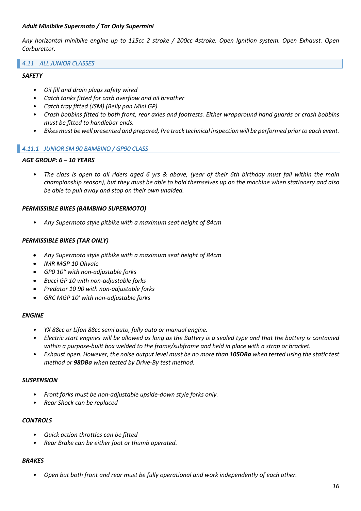#### *Adult Minibike Supermoto / Tar Only Supermini*

*Any horizontal minibike engine up to 115cc 2 stroke / 200cc 4stroke. Open Ignition system. Open Exhaust. Open Carburettor.*

#### *4.11 ALL JUNIOR CLASSES*

#### *SAFETY*

- *Oil fill and drain plugs safety wired*
- *Catch tanks fitted for carb overflow and oil breather*
- *Catch tray fitted (JSM) (Belly pan Mini GP)*
- *Crash bobbins fitted to both front, rear axles and footrests. Either wraparound hand guards or crash bobbins must be fitted to handlebar ends.*
- *Bikes must be well presented and prepared, Pre track technical inspection will be performed prior to each event.*

#### *4.11.1 JUNIOR SM 90 BAMBINO / GP90 CLASS*

#### *AGE GROUP: 6 – 10 YEARS*

• *The class is open to all riders aged 6 yrs & above, (year of their 6th birthday must fall within the main championship season), but they must be able to hold themselves up on the machine when stationery and also be able to pull away and stop on their own unaided.*

#### *PERMISSIBLE BIKES (BAMBINO SUPERMOTO)*

• *Any Supermoto style pitbike with a maximum seat height of 84cm*

#### *PERMISSIBLE BIKES (TAR ONLY)*

- *Any Supermoto style pitbike with a maximum seat height of 84cm*
- *IMR MGP 10 Ohvale*
- *GP0 10ʺ with non-adjustable forks*
- *Bucci GP 10 with non-adjustable forks*
- *Predator 10 90 with non-adjustable forks*
- *GRC MGP 10ʹ with non-adjustable forks*

#### *ENGINE*

- *YX 88cc or Lifan 88cc semi auto, fully auto or manual engine.*
- *Electric start engines will be allowed as long as the Battery is a sealed type and that the battery is contained within a purpose-built box welded to the frame/subframe and held in place with a strap or bracket.*
- *Exhaust open. However, the noise output level must be no more than 105DBa when tested using the static test method or 98DBa when tested by Drive-By test method.*

#### *SUSPENSION*

- *Front forks must be non-adjustable upside-down style forks only.*
- *Rear Shock can be replaced*

#### *CONTROLS*

- *Quick action throttles can be fitted*
- *Rear Brake can be either foot or thumb operated.*

#### *BRAKES*

• *Open but both front and rear must be fully operational and work independently of each other.*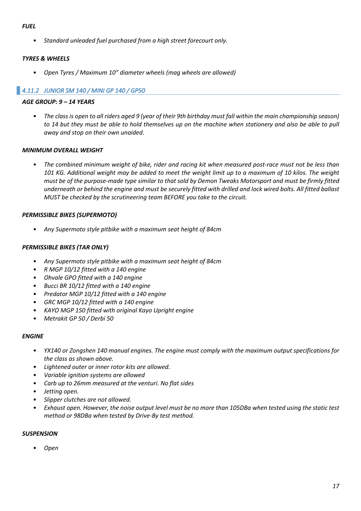#### *FUEL*

• *Standard unleaded fuel purchased from a high street forecourt only.*

# *TYRES & WHEELS*

• *Open Tyres / Maximum 10" diameter wheels (mag wheels are allowed)*

# *4.11.2 JUNIOR SM 140 / MINI GP 140 / GP50*

#### *AGE GROUP: 9 – 14 YEARS*

• *The class is open to all riders aged 9 (year of their 9th birthday must fall within the main championship season) to 14 but they must be able to hold themselves up on the machine when stationery and also be able to pull away and stop on their own unaided.*

#### *MINIMUM OVERALL WEIGHT*

• *The combined minimum weight of bike, rider and racing kit when measured post-race must not be less than 101 KG. Additional weight may be added to meet the weight limit up to a maximum of 10 kilos. The weight must be of the purpose-made type similar to that sold by Demon Tweaks Motorsport and must be firmly fitted underneath or behind the engine and must be securely fitted with drilled and lock wired bolts. All fitted ballast MUST be checked by the scrutineering team BEFORE you take to the circuit.*

#### *PERMISSIBLE BIKES (SUPERMOTO)*

• *Any Supermoto style pitbike with a maximum seat height of 84cm*

#### *PERMISSIBLE BIKES (TAR ONLY)*

- *Any Supermoto style pitbike with a maximum seat height of 84cm*
- *R MGP 10/12 fitted with a 140 engine*
- *Ohvale GPO fitted with a 140 engine*
- *Bucci BR 10/12 fitted with a 140 engine*
- *Predator MGP 10/12 fitted with a 140 engine*
- *GRC MGP 10/12 fitted with a 140 engine*
- *KAYO MGP 150 fitted with original Kayo Upright engine*
- *Metrakit GP 50 / Derbi 50*

#### *ENGINE*

- *YX140 or Zongshen 140 manual engines. The engine must comply with the maximum output specifications for the class as shown above.*
- *Lightened outer or inner rotor kits are allowed.*
- *Variable ignition systems are allowed*
- *Carb up to 26mm measured at the venturi. No flat sides*
- *Jetting open.*
- *Slipper clutches are not allowed.*
- *Exhaust open. However, the noise output level must be no more than 105DBa when tested using the static test method or 98DBa when tested by Drive-By test method.*

#### *SUSPENSION*

• *Open*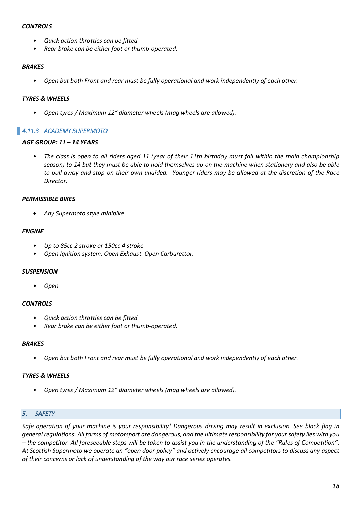#### *CONTROLS*

- *Quick action throttles can be fitted*
- *Rear brake can be either foot or thumb-operated.*

#### *BRAKES*

• *Open but both Front and rear must be fully operational and work independently of each other.*

#### *TYRES & WHEELS*

• *Open tyres / Maximum 12" diameter wheels (mag wheels are allowed).*

# *4.11.3 ACADEMY SUPERMOTO*

#### *AGE GROUP: 11 – 14 YEARS*

• *The class is open to all riders aged 11 (year of their 11th birthday must fall within the main championship season) to 14 but they must be able to hold themselves up on the machine when stationery and also be able to pull away and stop on their own unaided. Younger riders may be allowed at the discretion of the Race Director.*

#### *PERMISSIBLE BIKES*

• *Any Supermoto style minibike*

#### *ENGINE*

- *Up to 85cc 2 stroke or 150cc 4 stroke*
- *Open Ignition system. Open Exhaust. Open Carburettor.*

# *SUSPENSION*

• *Open*

# *CONTROLS*

- *Quick action throttles can be fitted*
- *Rear brake can be either foot or thumb-operated.*

#### *BRAKES*

• *Open but both Front and rear must be fully operational and work independently of each other.*

# *TYRES & WHEELS*

• *Open tyres / Maximum 12" diameter wheels (mag wheels are allowed).*

# *5. SAFETY*

*Safe operation of your machine is your responsibility! Dangerous driving may result in exclusion. See black flag in general regulations. All forms of motorsport are dangerous, and the ultimate responsibility for your safety lies with you – the competitor. All foreseeable steps will be taken to assist you in the understanding of the "Rules of Competition". At Scottish Supermoto we operate an "open door policy" and actively encourage all competitors to discuss any aspect of their concerns or lack of understanding of the way our race series operates.*